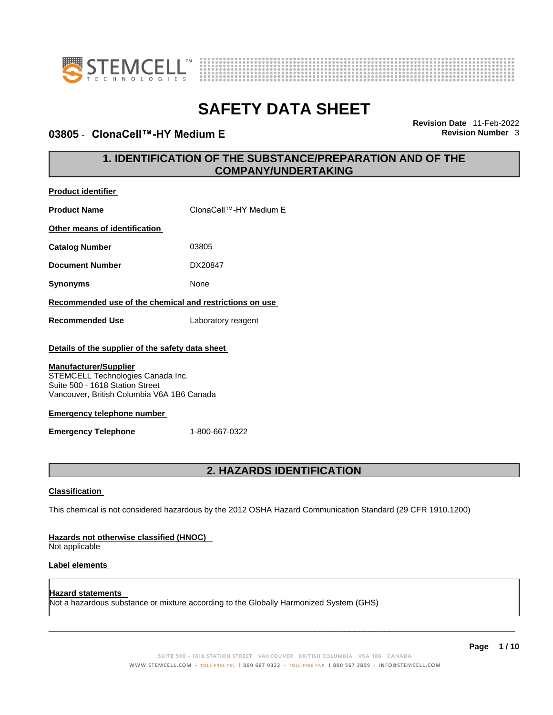

**Product identifier**



# **SAFETY DATA SHEET**

### **03805 ⋅ ClonaCell™-HY Medium E Revision Number 3**

**Revision Date** 11-Feb-2022

### **1. IDENTIFICATION OF THE SUBSTANCE/PREPARATION AND OF THE COMPANY/UNDERTAKING**

| <b>Product Name</b>                                                                                                                                | ClonaCell™-HY Medium E                                                                                      |
|----------------------------------------------------------------------------------------------------------------------------------------------------|-------------------------------------------------------------------------------------------------------------|
| Other means of identification                                                                                                                      |                                                                                                             |
| <b>Catalog Number</b>                                                                                                                              | 03805                                                                                                       |
| <b>Document Number</b>                                                                                                                             | DX20847                                                                                                     |
| <b>Synonyms</b>                                                                                                                                    | None                                                                                                        |
| Recommended use of the chemical and restrictions on use                                                                                            |                                                                                                             |
| <b>Recommended Use</b>                                                                                                                             | Laboratory reagent                                                                                          |
| Details of the supplier of the safety data sheet                                                                                                   |                                                                                                             |
| <b>Manufacturer/Supplier</b><br>STEMCELL Technologies Canada Inc.<br>Suite 500 - 1618 Station Street<br>Vancouver, British Columbia V6A 1B6 Canada |                                                                                                             |
| <b>Emergency telephone number</b>                                                                                                                  |                                                                                                             |
| <b>Emergency Telephone</b>                                                                                                                         | 1-800-667-0322                                                                                              |
|                                                                                                                                                    |                                                                                                             |
|                                                                                                                                                    | 2. HAZARDS IDENTIFICATION                                                                                   |
| <b>Classification</b>                                                                                                                              |                                                                                                             |
|                                                                                                                                                    | This chemical is not considered hazardous by the 2012 OSHA Hazard Communication Standard (29 CFR 1910.1200) |
| Hazards not otherwise classified (HNOC)<br>Not applicable                                                                                          |                                                                                                             |
| <b>Label elements</b>                                                                                                                              |                                                                                                             |

**Hazard statements**  Not a hazardous substance or mixture according to the Globally Harmonized System (GHS)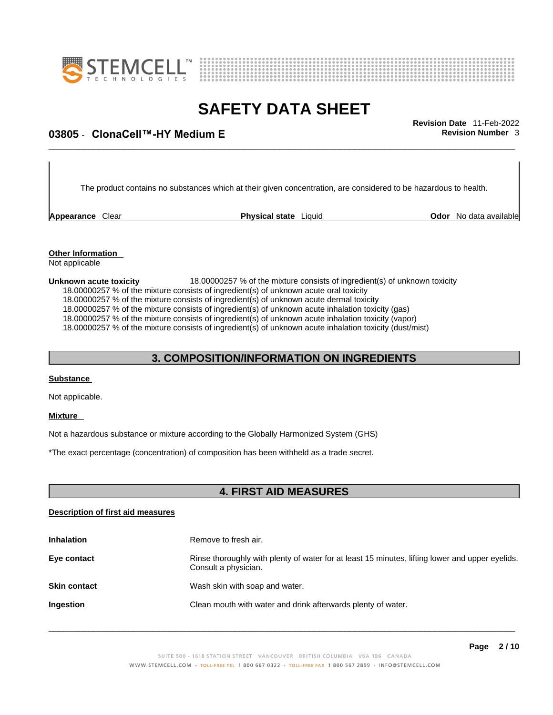



## \_\_\_\_\_\_\_\_\_\_\_\_\_\_\_\_\_\_\_\_\_\_\_\_\_\_\_\_\_\_\_\_\_\_\_\_\_\_\_\_\_\_\_\_\_\_\_\_\_\_\_\_\_\_\_\_\_\_\_\_\_\_\_\_\_\_\_\_\_\_\_\_\_\_\_\_\_\_\_\_\_\_\_\_\_\_\_\_\_\_\_\_\_ **Revision Date** 11-Feb-2022 **03805** - **ClonaCell™-HY Medium E Revision Number** 3

The product contains no substances which at their given concentration, are considered to be hazardous to health.

**Appearance** Clear **Physical state** Liquid

**Odor** No data available

**Other Information**  Not applicable

**Unknown acute toxicity** 18.00000257 % of the mixture consists of ingredient(s) of unknown toxicity 18.00000257 % of the mixture consists of ingredient(s) of unknown acute oral toxicity 18.00000257 % of the mixture consists of ingredient(s) of unknown acute dermal toxicity 18.00000257 % of the mixture consists of ingredient(s) of unknown acute inhalation toxicity (gas) 18.00000257 % of the mixture consists of ingredient(s) of unknown acute inhalation toxicity (vapor) 18.00000257 % of the mixture consists of ingredient(s) of unknown acute inhalation toxicity (dust/mist)

### **3. COMPOSITION/INFORMATION ON INGREDIENTS**

#### **Substance**

Not applicable.

#### **Mixture**

Not a hazardous substance or mixture according to the Globally Harmonized System (GHS)

\*The exact percentage (concentration) of composition has been withheld as a trade secret.

### **4. FIRST AID MEASURES**

#### **Description of first aid measures**

| <b>Inhalation</b>   | Remove to fresh air.                                                                                                    |
|---------------------|-------------------------------------------------------------------------------------------------------------------------|
| Eye contact         | Rinse thoroughly with plenty of water for at least 15 minutes, lifting lower and upper eyelids.<br>Consult a physician. |
| <b>Skin contact</b> | Wash skin with soap and water.                                                                                          |
| Ingestion           | Clean mouth with water and drink afterwards plenty of water.                                                            |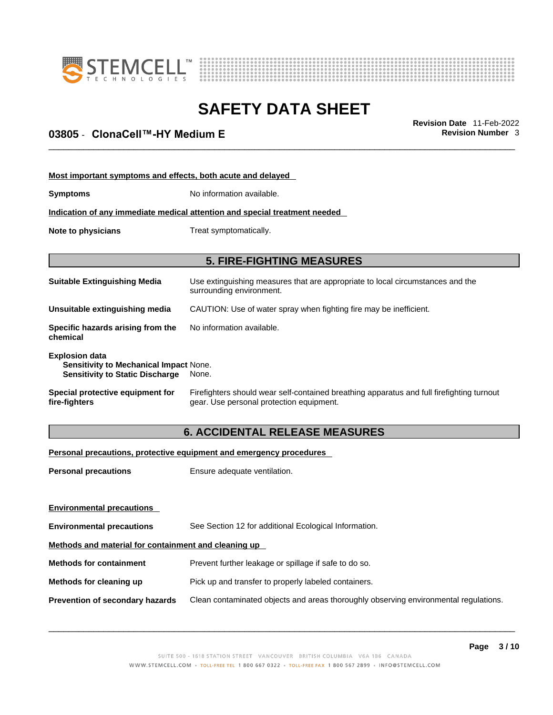



## \_\_\_\_\_\_\_\_\_\_\_\_\_\_\_\_\_\_\_\_\_\_\_\_\_\_\_\_\_\_\_\_\_\_\_\_\_\_\_\_\_\_\_\_\_\_\_\_\_\_\_\_\_\_\_\_\_\_\_\_\_\_\_\_\_\_\_\_\_\_\_\_\_\_\_\_\_\_\_\_\_\_\_\_\_\_\_\_\_\_\_\_\_ **Revision Date** 11-Feb-2022 **03805** - **ClonaCell™-HY Medium E Revision Number** 3

| Most important symptoms and effects, both acute and delayed                                                      |                                                                                                                                       |  |
|------------------------------------------------------------------------------------------------------------------|---------------------------------------------------------------------------------------------------------------------------------------|--|
| <b>Symptoms</b>                                                                                                  | No information available.                                                                                                             |  |
| Indication of any immediate medical attention and special treatment needed                                       |                                                                                                                                       |  |
| Note to physicians                                                                                               | Treat symptomatically.                                                                                                                |  |
|                                                                                                                  |                                                                                                                                       |  |
|                                                                                                                  | <b>5. FIRE-FIGHTING MEASURES</b>                                                                                                      |  |
| <b>Suitable Extinguishing Media</b>                                                                              | Use extinguishing measures that are appropriate to local circumstances and the<br>surrounding environment.                            |  |
| Unsuitable extinguishing media                                                                                   | CAUTION: Use of water spray when fighting fire may be inefficient.                                                                    |  |
| Specific hazards arising from the<br>chemical                                                                    | No information available.                                                                                                             |  |
| <b>Explosion data</b><br><b>Sensitivity to Mechanical Impact None.</b><br><b>Sensitivity to Static Discharge</b> | None.                                                                                                                                 |  |
| Special protective equipment for<br>fire-fighters                                                                | Firefighters should wear self-contained breathing apparatus and full firefighting turnout<br>gear. Use personal protection equipment. |  |

### **6. ACCIDENTAL RELEASE MEASURES**

#### **Personal precautions, protective equipment and emergency procedures**

| <b>Personal precautions</b>                          | Ensure adequate ventilation.                                                         |
|------------------------------------------------------|--------------------------------------------------------------------------------------|
|                                                      |                                                                                      |
|                                                      |                                                                                      |
| <b>Environmental precautions</b>                     | See Section 12 for additional Ecological Information.                                |
| Methods and material for containment and cleaning up |                                                                                      |
| <b>Methods for containment</b>                       | Prevent further leakage or spillage if safe to do so.                                |
| Methods for cleaning up                              | Pick up and transfer to properly labeled containers.                                 |
| Prevention of secondary hazards                      | Clean contaminated objects and areas thoroughly observing environmental regulations. |
| <b>Environmental precautions</b>                     |                                                                                      |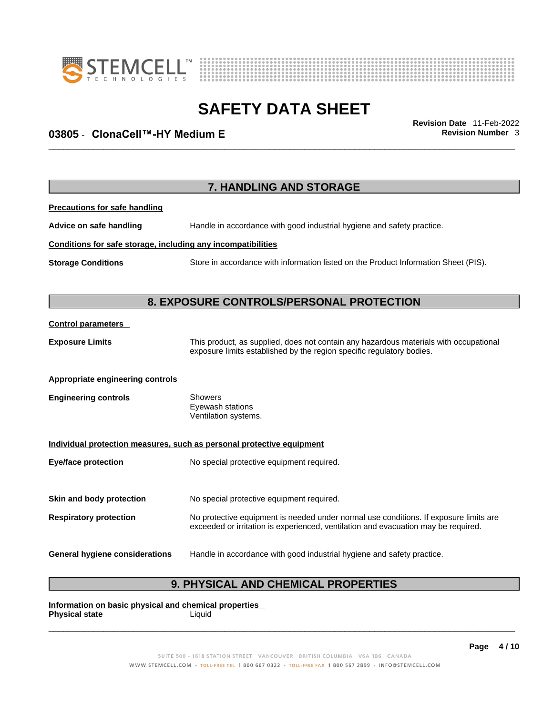



## \_\_\_\_\_\_\_\_\_\_\_\_\_\_\_\_\_\_\_\_\_\_\_\_\_\_\_\_\_\_\_\_\_\_\_\_\_\_\_\_\_\_\_\_\_\_\_\_\_\_\_\_\_\_\_\_\_\_\_\_\_\_\_\_\_\_\_\_\_\_\_\_\_\_\_\_\_\_\_\_\_\_\_\_\_\_\_\_\_\_\_\_\_ **Revision Date** 11-Feb-2022 **03805** - **ClonaCell™-HY Medium E Revision Number** 3

|                                                              | 7. HANDLING AND STORAGE                                                                                                                                                     |
|--------------------------------------------------------------|-----------------------------------------------------------------------------------------------------------------------------------------------------------------------------|
| <b>Precautions for safe handling</b>                         |                                                                                                                                                                             |
| Advice on safe handling                                      | Handle in accordance with good industrial hygiene and safety practice.                                                                                                      |
| Conditions for safe storage, including any incompatibilities |                                                                                                                                                                             |
| <b>Storage Conditions</b>                                    | Store in accordance with information listed on the Product Information Sheet (PIS).                                                                                         |
|                                                              | 8. EXPOSURE CONTROLS/PERSONAL PROTECTION                                                                                                                                    |
| <b>Control parameters</b>                                    |                                                                                                                                                                             |
| <b>Exposure Limits</b>                                       | This product, as supplied, does not contain any hazardous materials with occupational<br>exposure limits established by the region specific regulatory bodies.              |
| <b>Appropriate engineering controls</b>                      |                                                                                                                                                                             |
| <b>Engineering controls</b>                                  | Showers<br>Eyewash stations<br>Ventilation systems.                                                                                                                         |
|                                                              | Individual protection measures, such as personal protective equipment                                                                                                       |
| <b>Eye/face protection</b>                                   | No special protective equipment required.                                                                                                                                   |
| Skin and body protection                                     | No special protective equipment required.                                                                                                                                   |
| <b>Respiratory protection</b>                                | No protective equipment is needed under normal use conditions. If exposure limits are<br>exceeded or irritation is experienced, ventilation and evacuation may be required. |
| <b>General hygiene considerations</b>                        | Handle in accordance with good industrial hygiene and safety practice.                                                                                                      |

### **9. PHYSICAL AND CHEMICAL PROPERTIES**

**Information on basic physical and chemical properties Physical state** Liquid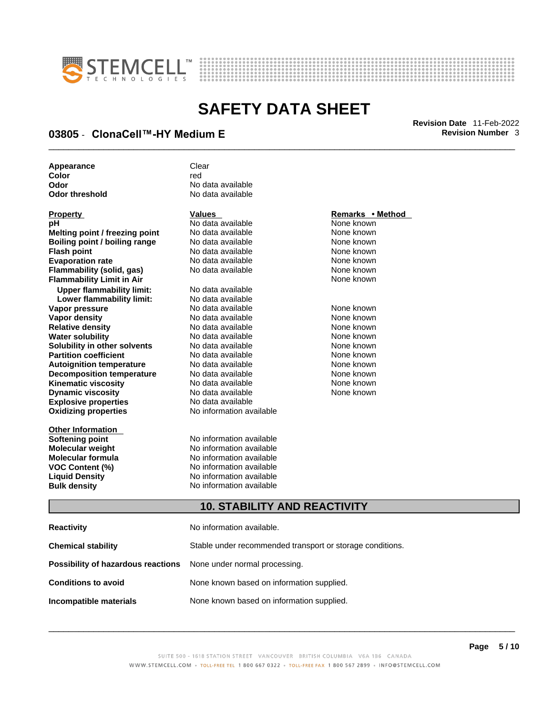



## \_\_\_\_\_\_\_\_\_\_\_\_\_\_\_\_\_\_\_\_\_\_\_\_\_\_\_\_\_\_\_\_\_\_\_\_\_\_\_\_\_\_\_\_\_\_\_\_\_\_\_\_\_\_\_\_\_\_\_\_\_\_\_\_\_\_\_\_\_\_\_\_\_\_\_\_\_\_\_\_\_\_\_\_\_\_\_\_\_\_\_\_\_ **Revision Date** 11-Feb-2022 **03805** - **ClonaCell™-HY Medium E Revision Number** 3

| Appearance     | Clear             |
|----------------|-------------------|
| Color          | red               |
| Odor           | No data available |
| Odor threshold | No data available |

| Property                         |
|----------------------------------|
| рH                               |
| Melting point / freezing point   |
| Boiling point / boiling range    |
| <b>Flash point</b>               |
| <b>Evaporation rate</b>          |
| Flammability (solid, gas)        |
| <b>Flammability Limit in Air</b> |
| <b>Upper flammability limit:</b> |
| Lower flammability limit:        |
| Vapor pressure                   |
| <b>Vapor density</b>             |
| <b>Relative density</b>          |
| Water solubility                 |
| Solubility in other solvents     |
| <b>Partition coefficient</b>     |
| <b>Autoignition temperature</b>  |
| <b>Decomposition temperature</b> |
| Kinematic viscosity              |
| <b>Dynamic viscosity</b>         |
| <b>Explosive properties</b>      |
| <b>Oxidizing properties</b>      |
|                                  |

**Other Information** 

**Odor** No data available **No data available** 

**No data available** None known **No data available None known Roidata available 1999 Mone known**<br> **Boiling** None known<br> **Roidata available None known No data available Evaporation No data available None known**<br> **Evaporation** None known<br>
None known **No data available** 

**Explosive properties** No data available **Oxidizing properties** No information available **No data available Lower flammability limit:** No data available **Vapora Available None known**<br> **Pressure No data available None known**<br>
None known **Vapor density Available** None known<br>
No data available None known **No data available No data available None known Solution Islam in Solution None known** None known **Partition Partition Coefficient Coefficient Coefficient Coefficient Coefficient Coefficient Coefficient Coefficient Coefficient Coefficient Coefficient Coefficient Coefficient Coefficient C Automische Munder None known**<br> **Automische None known**<br>
None known **No data available** No data available **None known** No data available None known

**Softening point**<br> **Molecular weight**<br> **Molecular weight**<br> **Molecular weight**<br> **Molecular weight No information available Molecular formula** No information available **VOC Content (%)**<br>
Liquid Density<br>
No information available<br>
No information available **No information available Bulk density No information available** 

#### **Property Values Remarks • Method**

**None known** 

#### **10. STABILITY AND REACTIVITY**

| Reactivity                                                              | No information available.                                 |
|-------------------------------------------------------------------------|-----------------------------------------------------------|
| Chemical stability                                                      | Stable under recommended transport or storage conditions. |
| <b>Possibility of hazardous reactions</b> None under normal processing. |                                                           |
| <b>Conditions to avoid</b>                                              | None known based on information supplied.                 |
| Incompatible materials                                                  | None known based on information supplied.                 |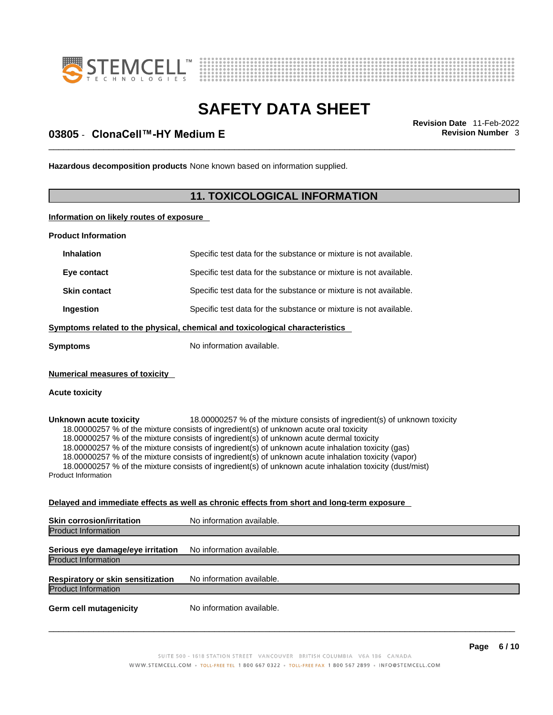



## \_\_\_\_\_\_\_\_\_\_\_\_\_\_\_\_\_\_\_\_\_\_\_\_\_\_\_\_\_\_\_\_\_\_\_\_\_\_\_\_\_\_\_\_\_\_\_\_\_\_\_\_\_\_\_\_\_\_\_\_\_\_\_\_\_\_\_\_\_\_\_\_\_\_\_\_\_\_\_\_\_\_\_\_\_\_\_\_\_\_\_\_\_ **Revision Date** 11-Feb-2022 **03805** - **ClonaCell™-HY Medium E Revision Number** 3

**Hazardous decomposition products** None known based on information supplied.

### **11. TOXICOLOGICAL INFORMATION**

**Information on likely routes of exposure**

**Product Information**

| <b>Inhalation</b>   | Specific test data for the substance or mixture is not available.            |
|---------------------|------------------------------------------------------------------------------|
| Eye contact         | Specific test data for the substance or mixture is not available.            |
| <b>Skin contact</b> | Specific test data for the substance or mixture is not available.            |
| Ingestion           | Specific test data for the substance or mixture is not available.            |
|                     | Symptoms related to the physical, chemical and toxicological characteristics |
| <b>Symptoms</b>     | No information available.                                                    |

**Numerical measures of toxicity**

#### **Acute toxicity**

**Unknown acute toxicity** 18.00000257 % of the mixture consists of ingredient(s) of unknown toxicity 18.00000257 % of the mixture consists of ingredient(s) of unknown acute oral toxicity 18.00000257 % of the mixture consists of ingredient(s) of unknown acute dermal toxicity 18.00000257 % of the mixture consists of ingredient(s) of unknown acute inhalation toxicity (gas) 18.00000257 % of the mixture consists of ingredient(s) ofunknown acute inhalation toxicity (vapor) 18.00000257 % of the mixture consists of ingredient(s) of unknown acute inhalation toxicity (dust/mist) Product Information

#### **Delayed and immediate effects as well as chronic effects from short and long-term exposure**

| <b>Skin corrosion/irritation</b>                                       | No information available. |
|------------------------------------------------------------------------|---------------------------|
| <b>Product Information</b>                                             |                           |
| Serious eye damage/eye irritation<br><b>Product Information</b>        | No information available. |
| <b>Respiratory or skin sensitization</b><br><b>Product Information</b> | No information available. |
| <b>Germ cell mutagenicity</b>                                          | No information available. |
|                                                                        |                           |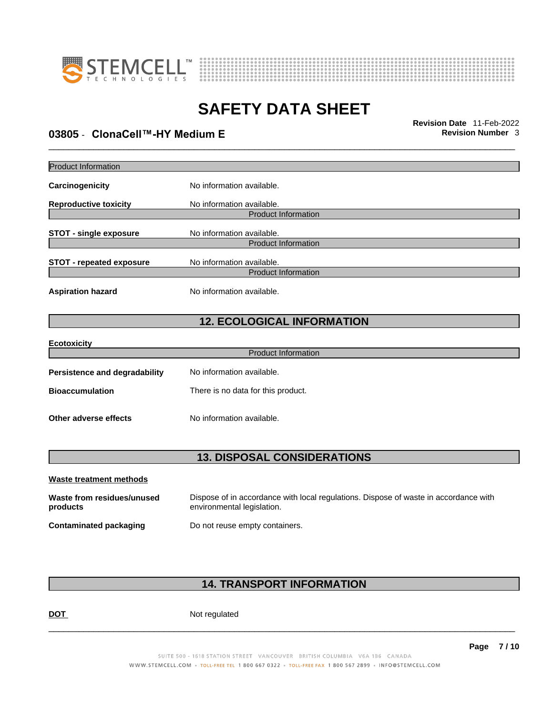



## \_\_\_\_\_\_\_\_\_\_\_\_\_\_\_\_\_\_\_\_\_\_\_\_\_\_\_\_\_\_\_\_\_\_\_\_\_\_\_\_\_\_\_\_\_\_\_\_\_\_\_\_\_\_\_\_\_\_\_\_\_\_\_\_\_\_\_\_\_\_\_\_\_\_\_\_\_\_\_\_\_\_\_\_\_\_\_\_\_\_\_\_\_ **Revision Date** 11-Feb-2022 **03805** - **ClonaCell™-HY Medium E Revision Number** 3

| <b>Product Information</b>           |                                    |
|--------------------------------------|------------------------------------|
| Carcinogenicity                      | No information available.          |
| <b>Reproductive toxicity</b>         | No information available.          |
|                                      | <b>Product Information</b>         |
| <b>STOT - single exposure</b>        | No information available.          |
|                                      | <b>Product Information</b>         |
| <b>STOT - repeated exposure</b>      | No information available.          |
|                                      | <b>Product Information</b>         |
| <b>Aspiration hazard</b>             | No information available.          |
|                                      | <b>12. ECOLOGICAL INFORMATION</b>  |
| <b>Ecotoxicity</b>                   |                                    |
|                                      | <b>Product Information</b>         |
| <b>Persistence and degradability</b> | No information available.          |
| <b>Bioaccumulation</b>               | There is no data for this product. |
| Other adverse effects                | No information available.          |
|                                      |                                    |
|                                      | <b>13. DISPOSAL CONSIDERATIONS</b> |
| <b>Waste treatment methods</b>       |                                    |

| Waste from residues/unused | Dispose of in accordance with local regulations. Dispose of waste in accordance with |
|----------------------------|--------------------------------------------------------------------------------------|
| products                   | environmental legislation.                                                           |
| Contaminated packaging     | Do not reuse empty containers.                                                       |

### **14. TRANSPORT INFORMATION**

DOT Not regulated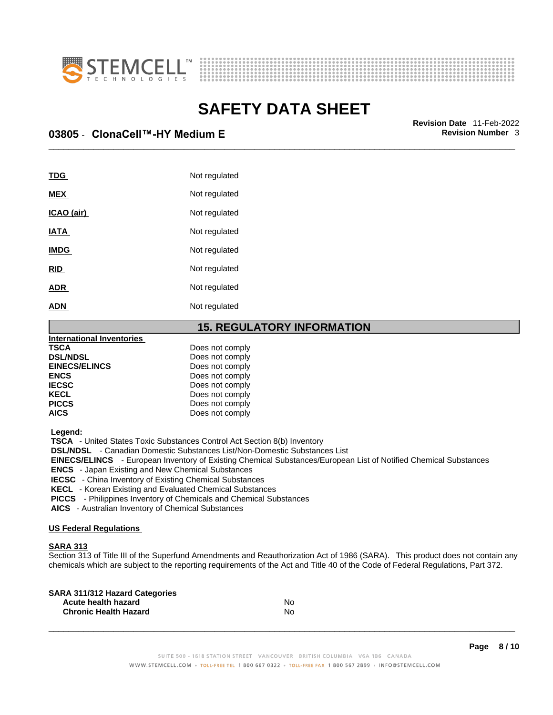



\_\_\_\_\_\_\_\_\_\_\_\_\_\_\_\_\_\_\_\_\_\_\_\_\_\_\_\_\_\_\_\_\_\_\_\_\_\_\_\_\_\_\_\_\_\_\_\_\_\_\_\_\_\_\_\_\_\_\_\_\_\_\_\_\_\_\_\_\_\_\_\_\_\_\_\_\_\_\_\_\_\_\_\_\_\_\_\_\_\_\_\_\_ **Revision Date** 11-Feb-2022 **03805** - **ClonaCell™-HY Medium E Revision Number** 3

| <b>TDG</b>        | Not regulated |
|-------------------|---------------|
| <b>MEX</b>        | Not regulated |
| <u>ICAO (air)</u> | Not regulated |
| <b>IATA</b>       | Not regulated |
| <b>IMDG</b>       | Not regulated |
| <b>RID</b>        | Not regulated |
| <b>ADR</b>        | Not regulated |
| <b>ADN</b>        | Not regulated |

#### **15. REGULATORY INFORMATION**

| <b>International Inventories</b> |                 |  |
|----------------------------------|-----------------|--|
| <b>TSCA</b>                      | Does not comply |  |
| <b>DSL/NDSL</b>                  | Does not comply |  |
| <b>EINECS/ELINCS</b>             | Does not comply |  |
| <b>ENCS</b>                      | Does not comply |  |
| <b>IECSC</b>                     | Does not comply |  |
| <b>KECL</b>                      | Does not comply |  |
| <b>PICCS</b>                     | Does not comply |  |
| <b>AICS</b>                      | Does not comply |  |
|                                  |                 |  |

 **Legend:** 

 **TSCA** - United States Toxic Substances Control Act Section 8(b) Inventory

 **DSL/NDSL** - Canadian Domestic Substances List/Non-Domestic Substances List

 **EINECS/ELINCS** - European Inventory of Existing Chemical Substances/European List of Notified Chemical Substances

 **ENCS** - Japan Existing and New Chemical Substances

 **IECSC** - China Inventory of Existing Chemical Substances

 **KECL** - Korean Existing and Evaluated Chemical Substances

 **PICCS** - Philippines Inventory of Chemicals and Chemical Substances

 **AICS** - Australian Inventory of Chemical Substances

#### **US Federal Regulations**

#### **SARA 313**

Section 313 of Title III of the Superfund Amendments and Reauthorization Act of 1986 (SARA). This product does not contain any chemicals which are subject to the reporting requirements of the Act and Title 40 of the Code of Federal Regulations, Part 372.

| No |  |
|----|--|
| N٥ |  |
|    |  |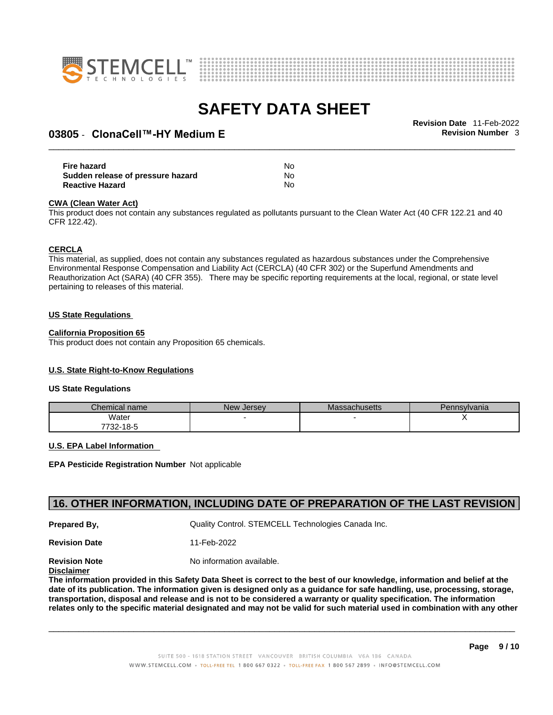



## \_\_\_\_\_\_\_\_\_\_\_\_\_\_\_\_\_\_\_\_\_\_\_\_\_\_\_\_\_\_\_\_\_\_\_\_\_\_\_\_\_\_\_\_\_\_\_\_\_\_\_\_\_\_\_\_\_\_\_\_\_\_\_\_\_\_\_\_\_\_\_\_\_\_\_\_\_\_\_\_\_\_\_\_\_\_\_\_\_\_\_\_\_ **Revision Date** 11-Feb-2022 **03805** - **ClonaCell™-HY Medium E Revision Number** 3

| Fire hazard                       | No. |  |
|-----------------------------------|-----|--|
| Sudden release of pressure hazard | No. |  |
| <b>Reactive Hazard</b>            | No  |  |

#### **CWA** (Clean Water Act)

This product does not contain any substances regulated as pollutants pursuant to the Clean Water Act (40 CFR 122.21 and 40 CFR 122.42).

#### **CERCLA**

This material, as supplied, does not contain any substances regulated as hazardous substances under the Comprehensive Environmental Response Compensation and Liability Act (CERCLA) (40 CFR 302) or the Superfund Amendments and Reauthorization Act (SARA) (40 CFR 355). There may be specific reporting requirements at the local, regional, or state level pertaining to releases of this material.

#### **US State Regulations**

#### **California Proposition 65**

This product does not contain any Proposition 65 chemicals.

#### **U.S. State Right-to-Know Regulations**

#### **US State Regulations**

| Chemical name     | New<br><b>Jersey</b> | <b>Massachusetts</b> | Pennsylvania |
|-------------------|----------------------|----------------------|--------------|
| Water             |                      |                      |              |
| 7700.<br>732-18-5 |                      |                      |              |

#### **U.S. EPA Label Information**

**EPA Pesticide Registration Number** Not applicable

#### **16. OTHER INFORMATION, INCLUDING DATE OF PREPARATION OF THE LAST REVISION**

**Prepared By, Cuality Control. STEMCELL Technologies Canada Inc.** 

**Revision Date** 11-Feb-2022

**Revision Note** Noinformation available.

#### **Disclaimer**

The information provided in this Safety Data Sheet is correct to the best of our knowledge, information and belief at the date of its publication. The information given is designed only as a guidance for safe handling, use, processing, storage, transportation, disposal and release and is not to be considered a warranty or quality specification. The information relates only to the specific material designated and may not be valid for such material used in combination with any other